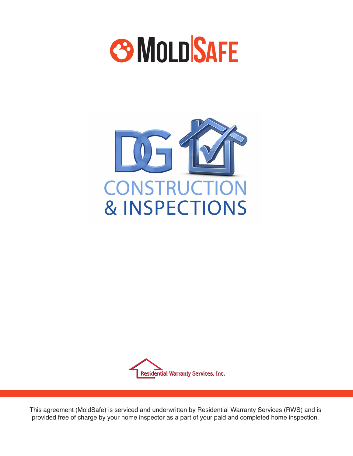





This agreement (MoldSafe) is serviced and underwritten by Residential Warranty Services (RWS) and is provided free of charge by your home inspector as a part of your paid and completed home inspection.